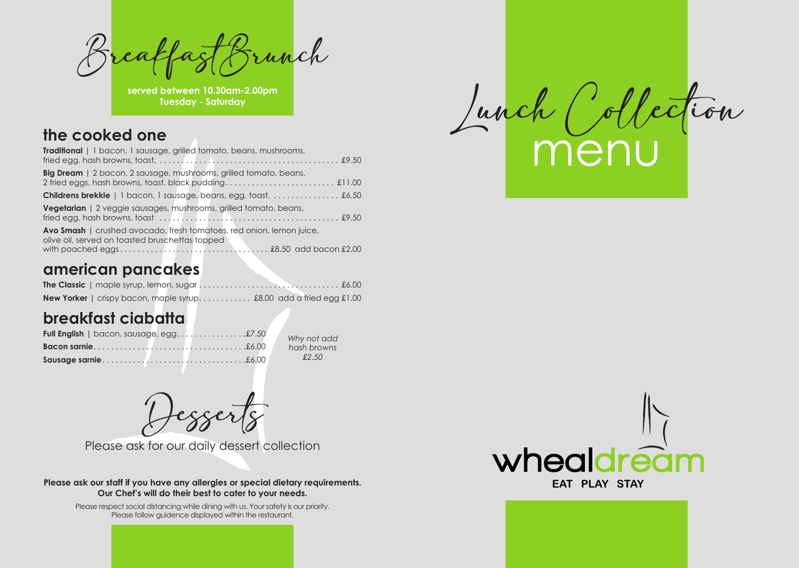



whealdrea

| <b>Traditional</b>   1 bacon, 1 sausage, grilled tomato, beans, mushrooms,                                              |
|-------------------------------------------------------------------------------------------------------------------------|
| <b>Big Dream</b>   2 bacon, 2 sausage, mushrooms, grilled tomato, beans,                                                |
| <b>Childrens brekkie</b>   1 bacon, 1 sausage, beans, egg, toast,  £6.50                                                |
| <b>Vegetarian</b>   2 veggie sausages, mushrooms, grilled tomato, beans,                                                |
| Avo Smash   crushed avocado, fresh tomatoes, red onion, lemon juice,<br>olive oil, served on toasted bruschettas topped |

### **american pancakes**

| <b>New Yorker</b>   crispy bacon, maple syrup £8.00 add a fried egg £1.00 |  |  |  |
|---------------------------------------------------------------------------|--|--|--|

# **breakfast ciabatta**

BreakfastBrunch

**served between 10.30am-2.00pm Tuesday - Saturday**

**Please ask our staff if you have any allergies or special dietary requirements. Our Chef's will do their best to cater to your needs.**

> Please respect social distancing while dining with us. Your safety is our priority. Please follow guidence displayed within the restaurant.

Desserts

Please ask for our daily dessert collection

*Why not add hash browns £2.50*